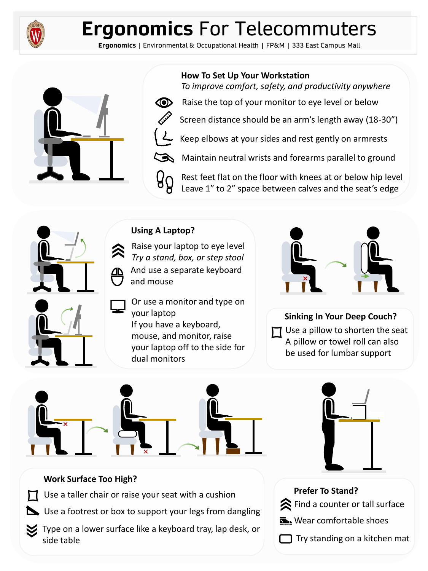

# **Ergonomics** For Telecommuters

**Ergonomics** | Environmental & Occupational Health | FP&M | 333 East Campus Mall



**How To Set Up Your Workstation**

*To improve comfort, safety, and productivity anywhere*

Screen distance should be an arm's length away (18-30")



Raise the top of your monitor to eye level or below



Keep elbows at your sides and rest gently on armrests



Maintain neutral wrists and forearms parallel to ground



Rest feet flat on the floor with knees at or below hip level Leave 1" to 2" space between calves and the seat's edge



### **Using A Laptop?**

Raise your laptop to eye level *Try a stand, box, or step stool* And use a separate keyboard and mouse

Or use a monitor and type on your laptop If you have a keyboard, mouse, and monitor, raise your laptop off to the side for dual monitors



**Sinking In Your Deep Couch?** Use a pillow to shorten the seat A pillow or towel roll can also be used for lumbar support





 $\hat{\mathbf{z}}$  Find a counter or tall surface

Try standing on a kitchen mat

**Near comfortable shoes** 

**Prefer To Stand?**

## **Work Surface Too High?**

Use a taller chair or raise your seat with a cushion

Use a footrest or box to support your legs from dangling

Type on a lower surface like a keyboard tray, lap desk, or side table